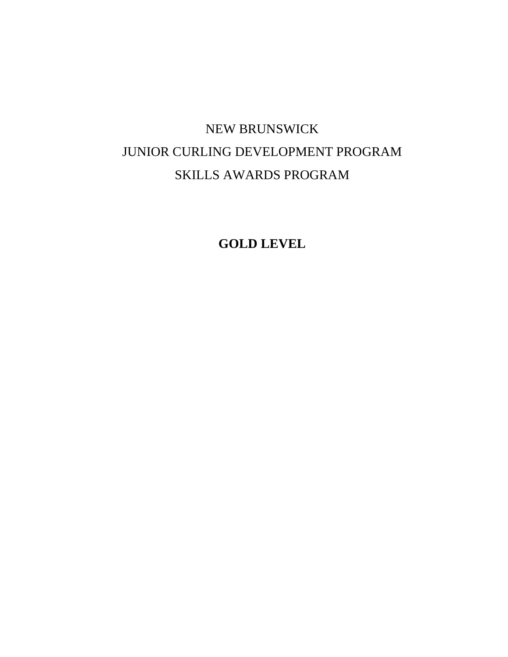# NEW BRUNSWICK JUNIOR CURLING DEVELOPMENT PROGRAM SKILLS AWARDS PROGRAM

**GOLD LEVEL**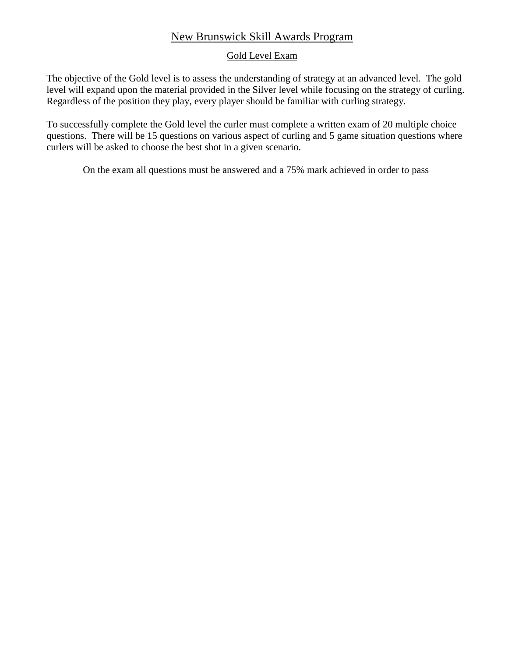# New Brunswick Skill Awards Program

#### Gold Level Exam

The objective of the Gold level is to assess the understanding of strategy at an advanced level. The gold level will expand upon the material provided in the Silver level while focusing on the strategy of curling. Regardless of the position they play, every player should be familiar with curling strategy.

To successfully complete the Gold level the curler must complete a written exam of 20 multiple choice questions. There will be 15 questions on various aspect of curling and 5 game situation questions where curlers will be asked to choose the best shot in a given scenario.

On the exam all questions must be answered and a 75% mark achieved in order to pass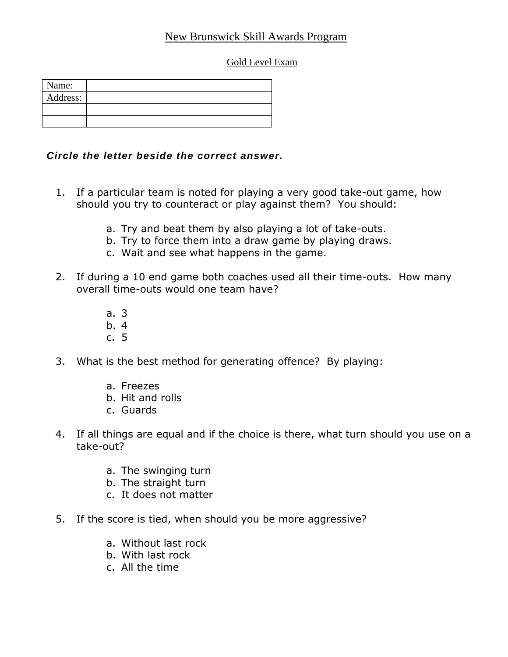# New Brunswick Skill Awards Program

## Gold Level Exam

| Name:    |  |
|----------|--|
| Address: |  |
|          |  |
|          |  |

## *Circle the letter beside the correct answer.*

- 1. If a particular team is noted for playing a very good take-out game, how should you try to counteract or play against them? You should:
	- a. Try and beat them by also playing a lot of take-outs.
	- b. Try to force them into a draw game by playing draws.
	- c. Wait and see what happens in the game.
- 2. If during a 10 end game both coaches used all their time-outs. How many overall time-outs would one team have?
	- a. 3
	- b. 4
	- c. 5
- 3. What is the best method for generating offence? By playing:
	- a. Freezes
	- b. Hit and rolls
	- c. Guards
- 4. If all things are equal and if the choice is there, what turn should you use on a take-out?
	- a. The swinging turn
	- b. The straight turn
	- c. It does not matter
- 5. If the score is tied, when should you be more aggressive?
	- a. Without last rock
	- b. With last rock
	- c. All the time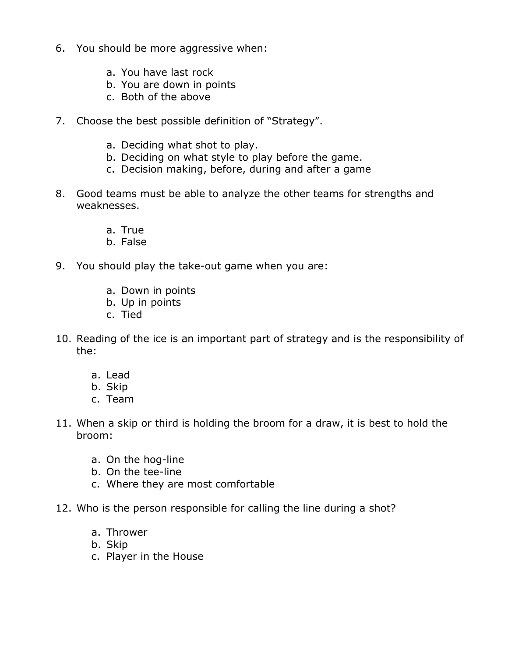- 6. You should be more aggressive when:
	- a. You have last rock
	- b. You are down in points
	- c. Both of the above
- 7. Choose the best possible definition of "Strategy".
	- a. Deciding what shot to play.
	- b. Deciding on what style to play before the game.
	- c. Decision making, before, during and after a game
- 8. Good teams must be able to analyze the other teams for strengths and weaknesses.
	- a. True
	- b. False
- 9. You should play the take-out game when you are:
	- a. Down in points
	- b. Up in points
	- c. Tied
- 10. Reading of the ice is an important part of strategy and is the responsibility of the:
	- a. Lead
	- b. Skip
	- c. Team
- 11. When a skip or third is holding the broom for a draw, it is best to hold the broom:
	- a. On the hog-line
	- b. On the tee-line
	- c. Where they are most comfortable
- 12. Who is the person responsible for calling the line during a shot?
	- a. Thrower
	- b. Skip
	- c. Player in the House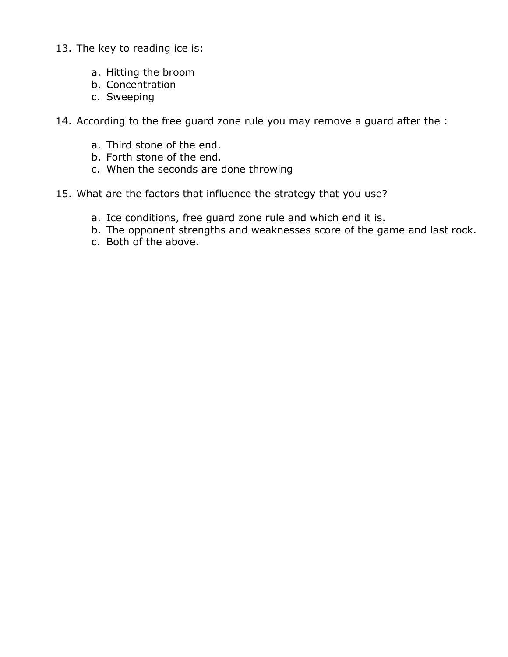- 13. The key to reading ice is:
	- a. Hitting the broom
	- b. Concentration
	- c. Sweeping

14. According to the free guard zone rule you may remove a guard after the :

- a. Third stone of the end.
- b. Forth stone of the end.
- c. When the seconds are done throwing
- 15. What are the factors that influence the strategy that you use?
	- a. Ice conditions, free guard zone rule and which end it is.
	- b. The opponent strengths and weaknesses score of the game and last rock.
	- c. Both of the above.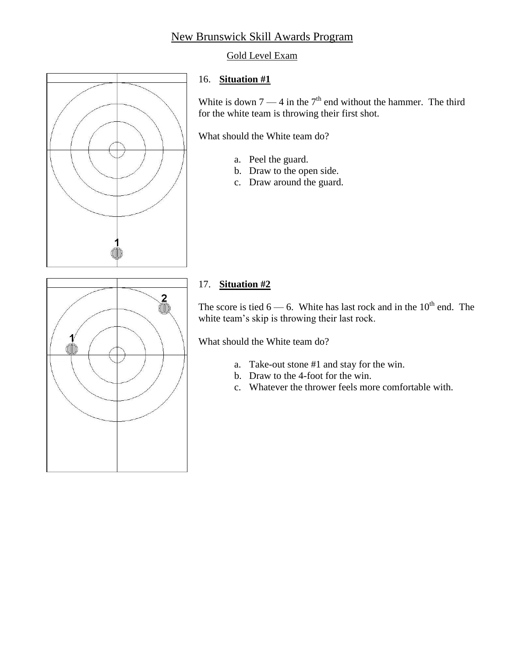# New Brunswick Skill Awards Program

#### Gold Level Exam



#### 16. **Situation #1**

White is down  $7 - 4$  in the  $7<sup>th</sup>$  end without the hammer. The third for the white team is throwing their first shot.

What should the White team do?

- a. Peel the guard.
- b. Draw to the open side.
- c. Draw around the guard.



## 17. **Situation #2**

The score is tied  $6 - 6$ . White has last rock and in the  $10<sup>th</sup>$  end. The white team's skip is throwing their last rock.

What should the White team do?

- a. Take-out stone #1 and stay for the win.
- b. Draw to the 4-foot for the win.
- c. Whatever the thrower feels more comfortable with.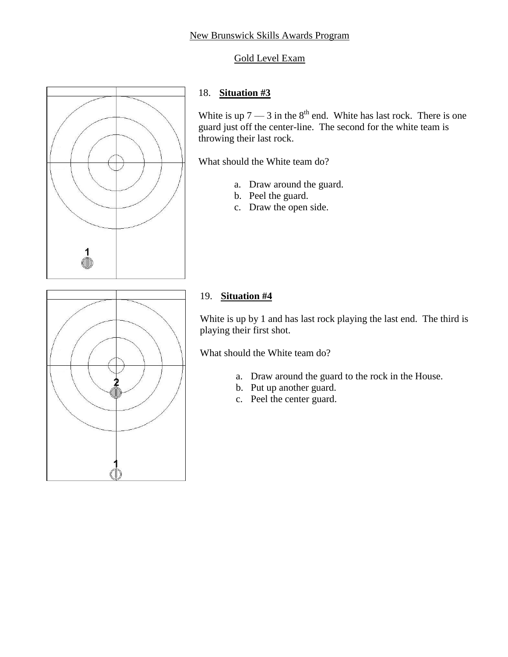## Gold Level Exam



## 18. **Situation #3**

White is up  $7 - 3$  in the  $8^{th}$  end. White has last rock. There is one guard just off the center-line. The second for the white team is throwing their last rock.

What should the White team do?

- a. Draw around the guard.
- b. Peel the guard.
- c. Draw the open side.



## 19. **Situation #4**

White is up by 1 and has last rock playing the last end. The third is playing their first shot.

What should the White team do?

- a. Draw around the guard to the rock in the House.
- b. Put up another guard.
- c. Peel the center guard.